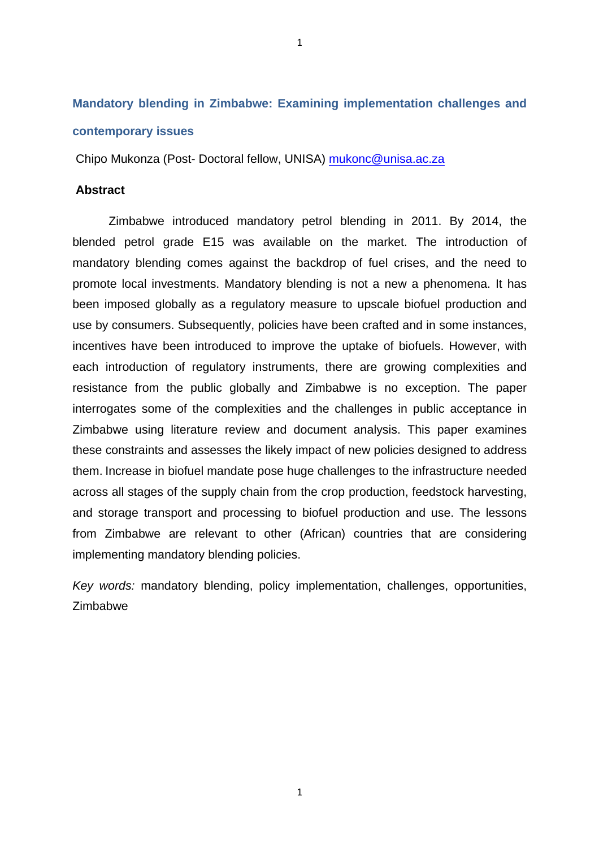# **Mandatory blending in Zimbabwe: Examining implementation challenges and contemporary issues**

1

Chipo Mukonza (Post- Doctoral fellow, UNISA) mukonc@unisa.ac.za

# **Abstract**

Zimbabwe introduced mandatory petrol blending in 2011. By 2014, the blended petrol grade E15 was available on the market. The introduction of mandatory blending comes against the backdrop of fuel crises, and the need to promote local investments. Mandatory blending is not a new a phenomena. It has been imposed globally as a regulatory measure to upscale biofuel production and use by consumers. Subsequently, policies have been crafted and in some instances, incentives have been introduced to improve the uptake of biofuels. However, with each introduction of regulatory instruments, there are growing complexities and resistance from the public globally and Zimbabwe is no exception. The paper interrogates some of the complexities and the challenges in public acceptance in Zimbabwe using literature review and document analysis. This paper examines these constraints and assesses the likely impact of new policies designed to address them. Increase in biofuel mandate pose huge challenges to the infrastructure needed across all stages of the supply chain from the crop production, feedstock harvesting, and storage transport and processing to biofuel production and use. The lessons from Zimbabwe are relevant to other (African) countries that are considering implementing mandatory blending policies.

Key words: mandatory blending, policy implementation, challenges, opportunities, Zimbabwe

1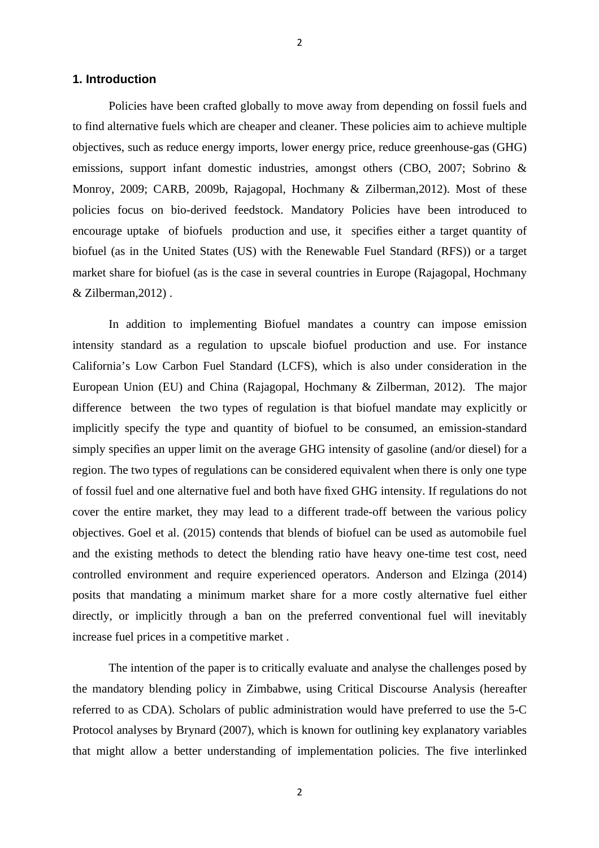## **1. Introduction**

Policies have been crafted globally to move away from depending on fossil fuels and to find alternative fuels which are cheaper and cleaner. These policies aim to achieve multiple objectives, such as reduce energy imports, lower energy price, reduce greenhouse-gas (GHG) emissions, support infant domestic industries, amongst others (CBO, 2007; Sobrino & Monroy, 2009; CARB, 2009b, Rajagopal, Hochmany & Zilberman,2012). Most of these policies focus on bio-derived feedstock. Mandatory Policies have been introduced to encourage uptake of biofuels production and use, it specifies either a target quantity of biofuel (as in the United States (US) with the Renewable Fuel Standard (RFS)) or a target market share for biofuel (as is the case in several countries in Europe (Rajagopal, Hochmany & Zilberman,2012) .

2

In addition to implementing Biofuel mandates a country can impose emission intensity standard as a regulation to upscale biofuel production and use. For instance California's Low Carbon Fuel Standard (LCFS), which is also under consideration in the European Union (EU) and China (Rajagopal, Hochmany & Zilberman, 2012). The major difference between the two types of regulation is that biofuel mandate may explicitly or implicitly specify the type and quantity of biofuel to be consumed, an emission-standard simply specifies an upper limit on the average GHG intensity of gasoline (and/or diesel) for a region. The two types of regulations can be considered equivalent when there is only one type of fossil fuel and one alternative fuel and both have fixed GHG intensity. If regulations do not cover the entire market, they may lead to a different trade-off between the various policy objectives. Goel et al. (2015) contends that blends of biofuel can be used as automobile fuel and the existing methods to detect the blending ratio have heavy one-time test cost, need controlled environment and require experienced operators. Anderson and Elzinga (2014) posits that mandating a minimum market share for a more costly alternative fuel either directly, or implicitly through a ban on the preferred conventional fuel will inevitably increase fuel prices in a competitive market .

The intention of the paper is to critically evaluate and analyse the challenges posed by the mandatory blending policy in Zimbabwe, using Critical Discourse Analysis (hereafter referred to as CDA). Scholars of public administration would have preferred to use the 5-C Protocol analyses by Brynard (2007), which is known for outlining key explanatory variables that might allow a better understanding of implementation policies. The five interlinked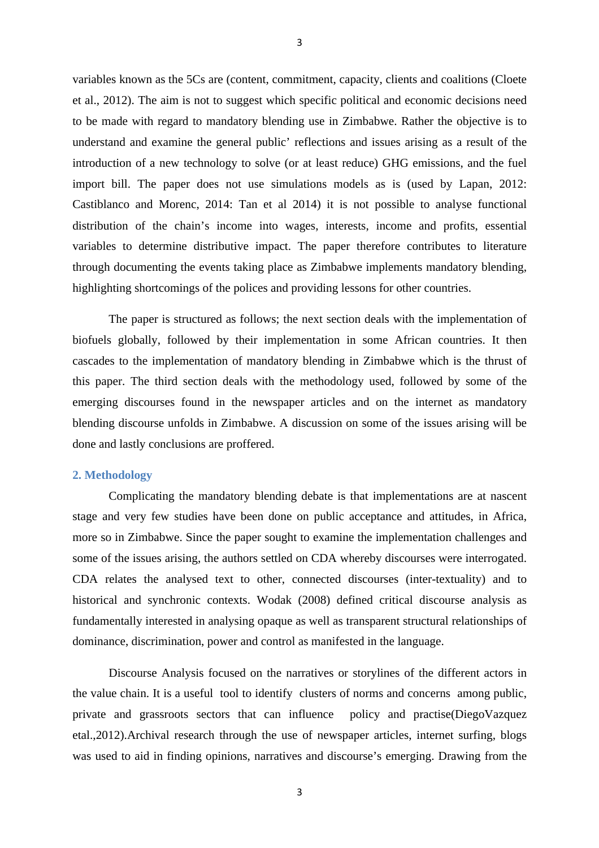variables known as the 5Cs are (content, commitment, capacity, clients and coalitions (Cloete et al., 2012). The aim is not to suggest which specific political and economic decisions need to be made with regard to mandatory blending use in Zimbabwe. Rather the objective is to understand and examine the general public' reflections and issues arising as a result of the introduction of a new technology to solve (or at least reduce) GHG emissions, and the fuel import bill. The paper does not use simulations models as is (used by Lapan, 2012: Castiblanco and Morenc, 2014: Tan et al 2014) it is not possible to analyse functional distribution of the chain's income into wages, interests, income and profits, essential variables to determine distributive impact. The paper therefore contributes to literature through documenting the events taking place as Zimbabwe implements mandatory blending, highlighting shortcomings of the polices and providing lessons for other countries.

The paper is structured as follows; the next section deals with the implementation of biofuels globally, followed by their implementation in some African countries. It then cascades to the implementation of mandatory blending in Zimbabwe which is the thrust of this paper. The third section deals with the methodology used, followed by some of the emerging discourses found in the newspaper articles and on the internet as mandatory blending discourse unfolds in Zimbabwe. A discussion on some of the issues arising will be done and lastly conclusions are proffered.

## **2. Methodology**

Complicating the mandatory blending debate is that implementations are at nascent stage and very few studies have been done on public acceptance and attitudes, in Africa, more so in Zimbabwe. Since the paper sought to examine the implementation challenges and some of the issues arising, the authors settled on CDA whereby discourses were interrogated. CDA relates the analysed text to other, connected discourses (inter-textuality) and to historical and synchronic contexts. Wodak (2008) defined critical discourse analysis as fundamentally interested in analysing opaque as well as transparent structural relationships of dominance, discrimination, power and control as manifested in the language.

Discourse Analysis focused on the narratives or storylines of the different actors in the value chain. It is a useful tool to identify clusters of norms and concerns among public, private and grassroots sectors that can influence policy and practise(DiegoVazquez etal.,2012).Archival research through the use of newspaper articles, internet surfing, blogs was used to aid in finding opinions, narratives and discourse's emerging. Drawing from the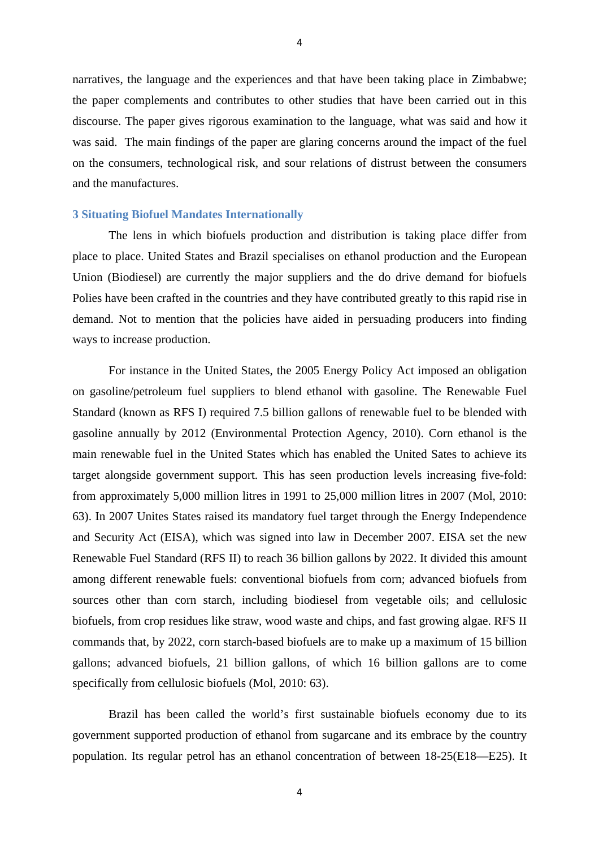narratives, the language and the experiences and that have been taking place in Zimbabwe; the paper complements and contributes to other studies that have been carried out in this discourse. The paper gives rigorous examination to the language, what was said and how it was said. The main findings of the paper are glaring concerns around the impact of the fuel on the consumers, technological risk, and sour relations of distrust between the consumers and the manufactures.

## **3 Situating Biofuel Mandates Internationally**

The lens in which biofuels production and distribution is taking place differ from place to place. United States and Brazil specialises on ethanol production and the European Union (Biodiesel) are currently the major suppliers and the do drive demand for biofuels Polies have been crafted in the countries and they have contributed greatly to this rapid rise in demand. Not to mention that the policies have aided in persuading producers into finding ways to increase production.

For instance in the United States, the 2005 Energy Policy Act imposed an obligation on gasoline/petroleum fuel suppliers to blend ethanol with gasoline. The Renewable Fuel Standard (known as RFS I) required 7.5 billion gallons of renewable fuel to be blended with gasoline annually by 2012 (Environmental Protection Agency, 2010). Corn ethanol is the main renewable fuel in the United States which has enabled the United Sates to achieve its target alongside government support. This has seen production levels increasing five-fold: from approximately 5,000 million litres in 1991 to 25,000 million litres in 2007 (Mol, 2010: 63). In 2007 Unites States raised its mandatory fuel target through the Energy Independence and Security Act (EISA), which was signed into law in December 2007. EISA set the new Renewable Fuel Standard (RFS II) to reach 36 billion gallons by 2022. It divided this amount among different renewable fuels: conventional biofuels from corn; advanced biofuels from sources other than corn starch, including biodiesel from vegetable oils; and cellulosic biofuels, from crop residues like straw, wood waste and chips, and fast growing algae. RFS II commands that, by 2022, corn starch-based biofuels are to make up a maximum of 15 billion gallons; advanced biofuels, 21 billion gallons, of which 16 billion gallons are to come specifically from cellulosic biofuels (Mol, 2010: 63).

Brazil has been called the world's first sustainable biofuels economy due to its government supported production of ethanol from sugarcane and its embrace by the country population. Its regular petrol has an ethanol concentration of between 18-25(E18—E25). It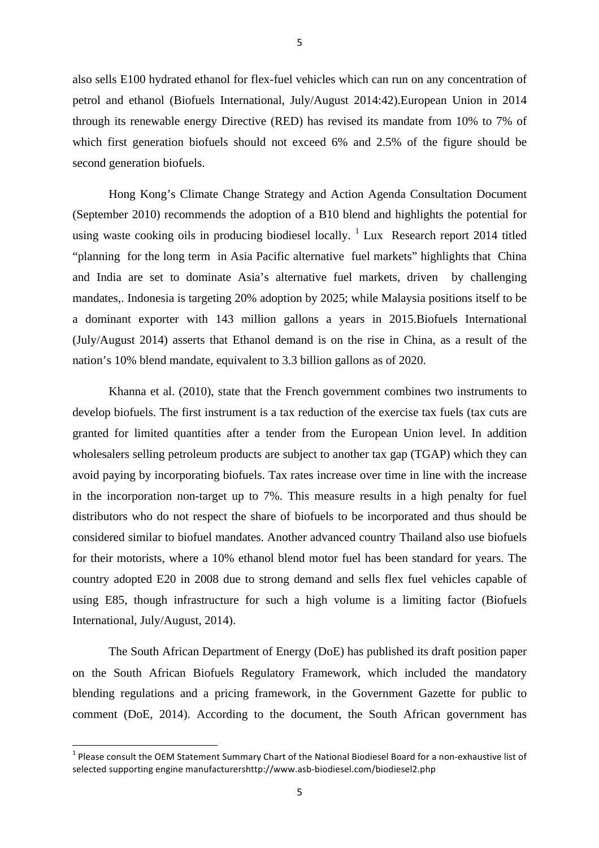also sells E100 hydrated ethanol for flex-fuel vehicles which can run on any concentration of petrol and ethanol (Biofuels International, July/August 2014:42).European Union in 2014 through its renewable energy Directive (RED) has revised its mandate from 10% to 7% of which first generation biofuels should not exceed 6% and 2.5% of the figure should be second generation biofuels.

Hong Kong's Climate Change Strategy and Action Agenda Consultation Document (September 2010) recommends the adoption of a B10 blend and highlights the potential for using waste cooking oils in producing biodiesel locally.  $\frac{1}{1}$  Lux Research report 2014 titled "planning for the long term in Asia Pacific alternative fuel markets" highlights that China and India are set to dominate Asia's alternative fuel markets, driven by challenging mandates,. Indonesia is targeting 20% adoption by 2025; while Malaysia positions itself to be a dominant exporter with 143 million gallons a years in 2015.Biofuels International (July/August 2014) asserts that Ethanol demand is on the rise in China, as a result of the nation's 10% blend mandate, equivalent to 3.3 billion gallons as of 2020.

Khanna et al. (2010), state that the French government combines two instruments to develop biofuels. The first instrument is a tax reduction of the exercise tax fuels (tax cuts are granted for limited quantities after a tender from the European Union level. In addition wholesalers selling petroleum products are subject to another tax gap (TGAP) which they can avoid paying by incorporating biofuels. Tax rates increase over time in line with the increase in the incorporation non-target up to 7%. This measure results in a high penalty for fuel distributors who do not respect the share of biofuels to be incorporated and thus should be considered similar to biofuel mandates. Another advanced country Thailand also use biofuels for their motorists, where a 10% ethanol blend motor fuel has been standard for years. The country adopted E20 in 2008 due to strong demand and sells flex fuel vehicles capable of using E85, though infrastructure for such a high volume is a limiting factor (Biofuels International, July/August, 2014).

The South African Department of Energy (DoE) has published its draft position paper on the South African Biofuels Regulatory Framework, which included the mandatory blending regulations and a pricing framework, in the Government Gazette for public to comment (DoE, 2014). According to the document, the South African government has

<u> 1989 - Jan Samuel Barbara, margaret e</u>

 $1$  Please consult the OEM Statement Summary Chart of the National Biodiesel Board for a non-exhaustive list of selected supporting engine manufacturershttp://www.asb-biodiesel.com/biodiesel2.php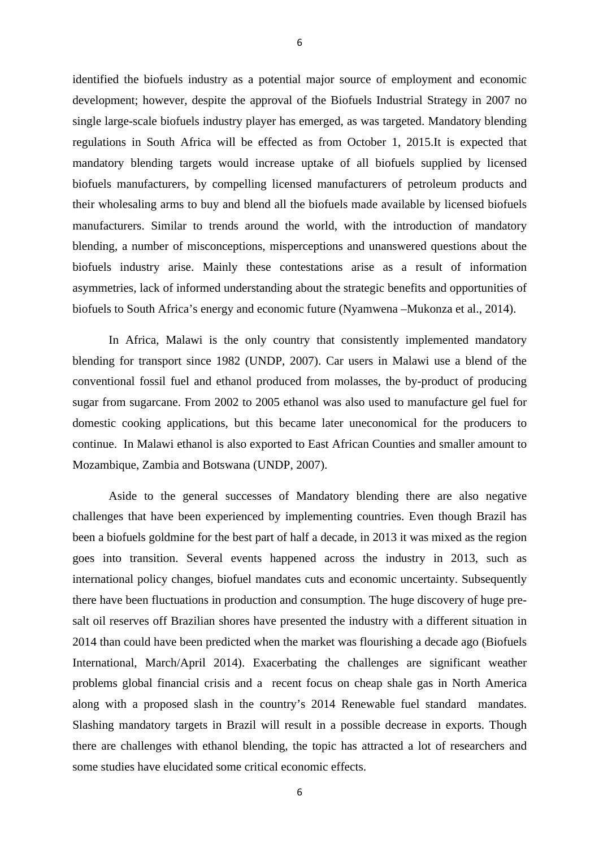identified the biofuels industry as a potential major source of employment and economic development; however, despite the approval of the Biofuels Industrial Strategy in 2007 no single large-scale biofuels industry player has emerged, as was targeted. Mandatory blending regulations in South Africa will be effected as from October 1, 2015.It is expected that mandatory blending targets would increase uptake of all biofuels supplied by licensed biofuels manufacturers, by compelling licensed manufacturers of petroleum products and their wholesaling arms to buy and blend all the biofuels made available by licensed biofuels manufacturers. Similar to trends around the world, with the introduction of mandatory blending, a number of misconceptions, misperceptions and unanswered questions about the biofuels industry arise. Mainly these contestations arise as a result of information asymmetries, lack of informed understanding about the strategic benefits and opportunities of biofuels to South Africa's energy and economic future (Nyamwena –Mukonza et al., 2014).

In Africa, Malawi is the only country that consistently implemented mandatory blending for transport since 1982 (UNDP, 2007). Car users in Malawi use a blend of the conventional fossil fuel and ethanol produced from molasses, the by-product of producing sugar from sugarcane. From 2002 to 2005 ethanol was also used to manufacture gel fuel for domestic cooking applications, but this became later uneconomical for the producers to continue. In Malawi ethanol is also exported to East African Counties and smaller amount to Mozambique, Zambia and Botswana (UNDP, 2007).

Aside to the general successes of Mandatory blending there are also negative challenges that have been experienced by implementing countries. Even though Brazil has been a biofuels goldmine for the best part of half a decade, in 2013 it was mixed as the region goes into transition. Several events happened across the industry in 2013, such as international policy changes, biofuel mandates cuts and economic uncertainty. Subsequently there have been fluctuations in production and consumption. The huge discovery of huge presalt oil reserves off Brazilian shores have presented the industry with a different situation in 2014 than could have been predicted when the market was flourishing a decade ago (Biofuels International, March/April 2014). Exacerbating the challenges are significant weather problems global financial crisis and a recent focus on cheap shale gas in North America along with a proposed slash in the country's 2014 Renewable fuel standard mandates. Slashing mandatory targets in Brazil will result in a possible decrease in exports. Though there are challenges with ethanol blending, the topic has attracted a lot of researchers and some studies have elucidated some critical economic effects.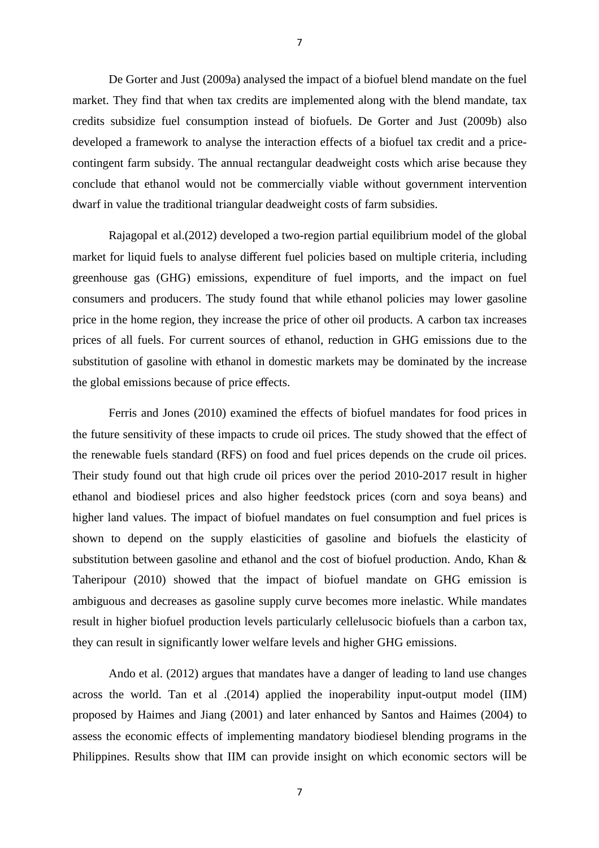De Gorter and Just (2009a) analysed the impact of a biofuel blend mandate on the fuel market. They find that when tax credits are implemented along with the blend mandate, tax credits subsidize fuel consumption instead of biofuels. De Gorter and Just (2009b) also developed a framework to analyse the interaction effects of a biofuel tax credit and a pricecontingent farm subsidy. The annual rectangular deadweight costs which arise because they conclude that ethanol would not be commercially viable without government intervention dwarf in value the traditional triangular deadweight costs of farm subsidies.

Rajagopal et al.(2012) developed a two-region partial equilibrium model of the global market for liquid fuels to analyse different fuel policies based on multiple criteria, including greenhouse gas (GHG) emissions, expenditure of fuel imports, and the impact on fuel consumers and producers. The study found that while ethanol policies may lower gasoline price in the home region, they increase the price of other oil products. A carbon tax increases prices of all fuels. For current sources of ethanol, reduction in GHG emissions due to the substitution of gasoline with ethanol in domestic markets may be dominated by the increase the global emissions because of price effects.

Ferris and Jones (2010) examined the effects of biofuel mandates for food prices in the future sensitivity of these impacts to crude oil prices. The study showed that the effect of the renewable fuels standard (RFS) on food and fuel prices depends on the crude oil prices. Their study found out that high crude oil prices over the period 2010-2017 result in higher ethanol and biodiesel prices and also higher feedstock prices (corn and soya beans) and higher land values. The impact of biofuel mandates on fuel consumption and fuel prices is shown to depend on the supply elasticities of gasoline and biofuels the elasticity of substitution between gasoline and ethanol and the cost of biofuel production. Ando, Khan & Taheripour (2010) showed that the impact of biofuel mandate on GHG emission is ambiguous and decreases as gasoline supply curve becomes more inelastic. While mandates result in higher biofuel production levels particularly cellelusocic biofuels than a carbon tax, they can result in significantly lower welfare levels and higher GHG emissions.

Ando et al. (2012) argues that mandates have a danger of leading to land use changes across the world. Tan et al .(2014) applied the inoperability input-output model (IIM) proposed by Haimes and Jiang (2001) and later enhanced by Santos and Haimes (2004) to assess the economic effects of implementing mandatory biodiesel blending programs in the Philippines. Results show that IIM can provide insight on which economic sectors will be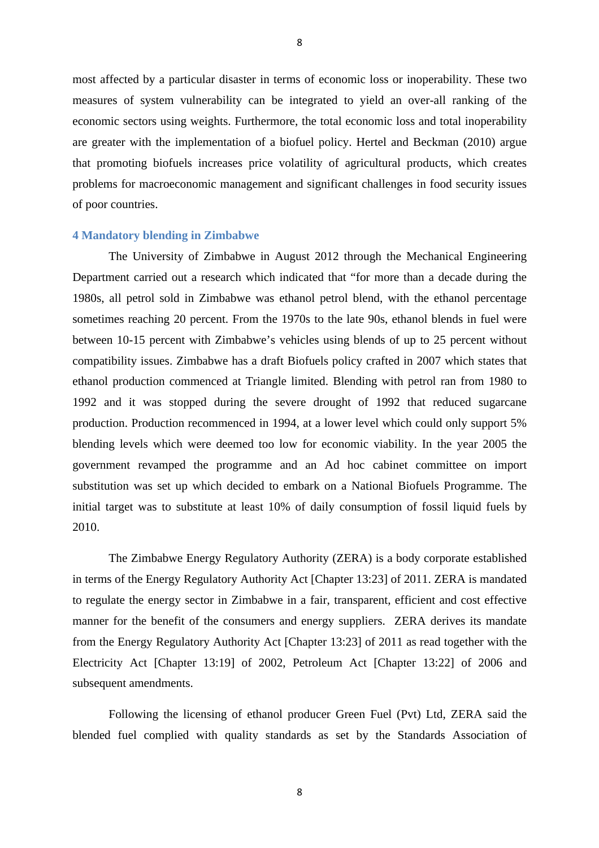most affected by a particular disaster in terms of economic loss or inoperability. These two measures of system vulnerability can be integrated to yield an over-all ranking of the economic sectors using weights. Furthermore, the total economic loss and total inoperability are greater with the implementation of a biofuel policy. Hertel and Beckman (2010) argue that promoting biofuels increases price volatility of agricultural products, which creates problems for macroeconomic management and significant challenges in food security issues of poor countries.

# **4 Mandatory blending in Zimbabwe**

The University of Zimbabwe in August 2012 through the Mechanical Engineering Department carried out a research which indicated that "for more than a decade during the 1980s, all petrol sold in Zimbabwe was ethanol petrol blend, with the ethanol percentage sometimes reaching 20 percent. From the 1970s to the late 90s, ethanol blends in fuel were between 10-15 percent with Zimbabwe's vehicles using blends of up to 25 percent without compatibility issues. Zimbabwe has a draft Biofuels policy crafted in 2007 which states that ethanol production commenced at Triangle limited. Blending with petrol ran from 1980 to 1992 and it was stopped during the severe drought of 1992 that reduced sugarcane production. Production recommenced in 1994, at a lower level which could only support 5% blending levels which were deemed too low for economic viability. In the year 2005 the government revamped the programme and an Ad hoc cabinet committee on import substitution was set up which decided to embark on a National Biofuels Programme. The initial target was to substitute at least 10% of daily consumption of fossil liquid fuels by 2010.

The Zimbabwe Energy Regulatory Authority (ZERA) is a body corporate established in terms of the Energy Regulatory Authority Act [Chapter 13:23] of 2011. ZERA is mandated to regulate the energy sector in Zimbabwe in a fair, transparent, efficient and cost effective manner for the benefit of the consumers and energy suppliers. ZERA derives its mandate from the Energy Regulatory Authority Act [Chapter 13:23] of 2011 as read together with the Electricity Act [Chapter 13:19] of 2002, Petroleum Act [Chapter 13:22] of 2006 and subsequent amendments.

Following the licensing of ethanol producer Green Fuel (Pvt) Ltd, ZERA said the blended fuel complied with quality standards as set by the Standards Association of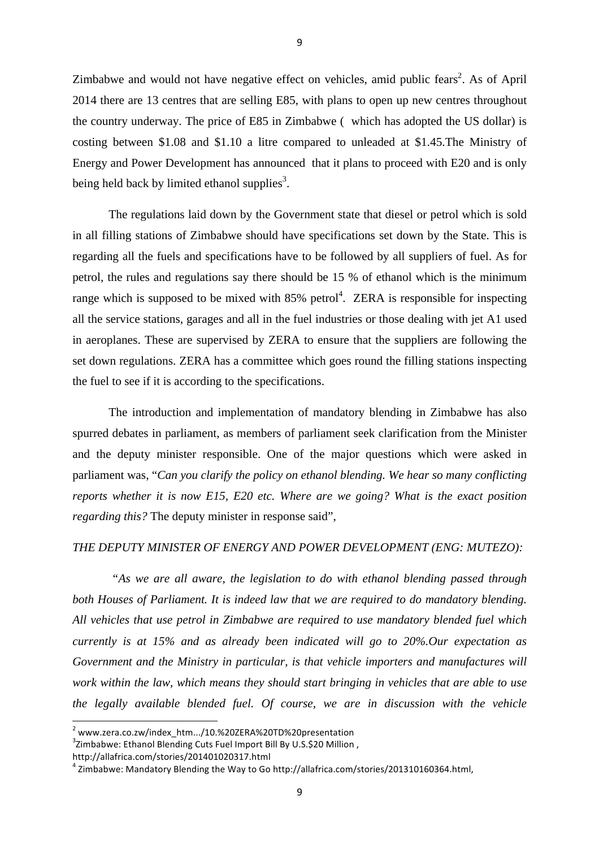Zimbabwe and would not have negative effect on vehicles, amid public fears<sup>2</sup>. As of April 2014 there are 13 centres that are selling E85, with plans to open up new centres throughout the country underway. The price of E85 in Zimbabwe ( which has adopted the US dollar) is costing between \$1.08 and \$1.10 a litre compared to unleaded at \$1.45.The Ministry of Energy and Power Development has announced that it plans to proceed with E20 and is only being held back by limited ethanol supplies<sup>3</sup>.

The regulations laid down by the Government state that diesel or petrol which is sold in all filling stations of Zimbabwe should have specifications set down by the State. This is regarding all the fuels and specifications have to be followed by all suppliers of fuel. As for petrol, the rules and regulations say there should be 15 % of ethanol which is the minimum range which is supposed to be mixed with  $85\%$  petrol<sup>4</sup>. ZERA is responsible for inspecting all the service stations, garages and all in the fuel industries or those dealing with jet A1 used in aeroplanes. These are supervised by ZERA to ensure that the suppliers are following the set down regulations. ZERA has a committee which goes round the filling stations inspecting the fuel to see if it is according to the specifications.

The introduction and implementation of mandatory blending in Zimbabwe has also spurred debates in parliament, as members of parliament seek clarification from the Minister and the deputy minister responsible. One of the major questions which were asked in parliament was, "*Can you clarify the policy on ethanol blending. We hear so many conflicting reports whether it is now E15, E20 etc. Where are we going? What is the exact position regarding this?* The deputy minister in response said",

# *THE DEPUTY MINISTER OF ENERGY AND POWER DEVELOPMENT (ENG: MUTEZO):*

*"As we are all aware, the legislation to do with ethanol blending passed through both Houses of Parliament. It is indeed law that we are required to do mandatory blending. All vehicles that use petrol in Zimbabwe are required to use mandatory blended fuel which currently is at 15% and as already been indicated will go to 20%.Our expectation as Government and the Ministry in particular, is that vehicle importers and manufactures will work within the law, which means they should start bringing in vehicles that are able to use the legally available blended fuel. Of course, we are in discussion with the vehicle* 

<sup>&</sup>lt;sup>2</sup> www.zera.co.zw/index\_htm.../10.%20ZERA%20TD%20presentation

 $^3$ Zimbabwe: Ethanol Blending Cuts Fuel Import Bill By U.S.\$20 Million ,

http://allafrica.com/stories/201401020317.html

 $4$  Zimbabwe: Mandatory Blending the Way to Go http://allafrica.com/stories/201310160364.html,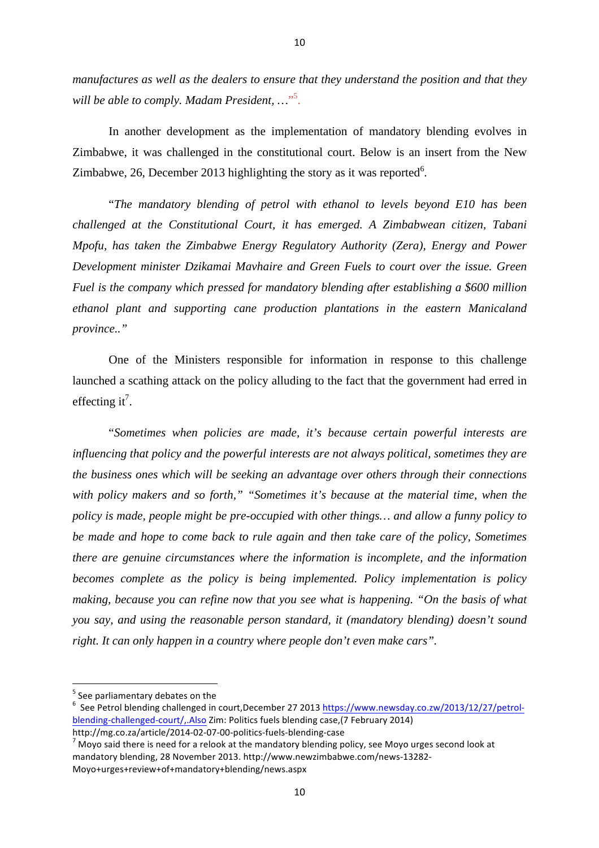*manufactures as well as the dealers to ensure that they understand the position and that they will be able to comply. Madam President, …*" 5 .

In another development as the implementation of mandatory blending evolves in Zimbabwe, it was challenged in the constitutional court. Below is an insert from the New Zimbabwe, 26, December 2013 highlighting the story as it was reported<sup>6</sup>.

"*The mandatory blending of petrol with ethanol to levels beyond E10 has been challenged at the Constitutional Court, it has emerged. A Zimbabwean citizen, Tabani Mpofu, has taken the Zimbabwe Energy Regulatory Authority (Zera), Energy and Power Development minister Dzikamai Mavhaire and Green Fuels to court over the issue. Green Fuel is the company which pressed for mandatory blending after establishing a \$600 million ethanol plant and supporting cane production plantations in the eastern Manicaland province.."*

One of the Ministers responsible for information in response to this challenge launched a scathing attack on the policy alluding to the fact that the government had erred in effecting it<sup>7</sup>.

"*Sometimes when policies are made, it's because certain powerful interests are influencing that policy and the powerful interests are not always political, sometimes they are the business ones which will be seeking an advantage over others through their connections with policy makers and so forth," "Sometimes it's because at the material time, when the policy is made, people might be pre-occupied with other things… and allow a funny policy to be made and hope to come back to rule again and then take care of the policy, Sometimes there are genuine circumstances where the information is incomplete, and the information becomes complete as the policy is being implemented. Policy implementation is policy making, because you can refine now that you see what is happening. "On the basis of what you say, and using the reasonable person standard, it (mandatory blending) doesn't sound right. It can only happen in a country where people don't even make cars".*

  $5$  See parliamentary debates on the

<sup>&</sup>lt;sup>6</sup> See Petrol blending challenged in court,December 27 2013 https://www.newsday.co.zw/2013/12/27/petrolblending-challenged-court/,.Also Zim: Politics fuels blending case,(7 February 2014)

http://mg.co.za/article/2014-02-07-00-politics-fuels-blending-case<br> $7$  Moyo said there is need for a relook at the mandatory blending policy, see Moyo urges second look at mandatory blending, 28 November 2013. http://www.newzimbabwe.com/news-13282-Moyo+urges+review+of+mandatory+blending/news.aspx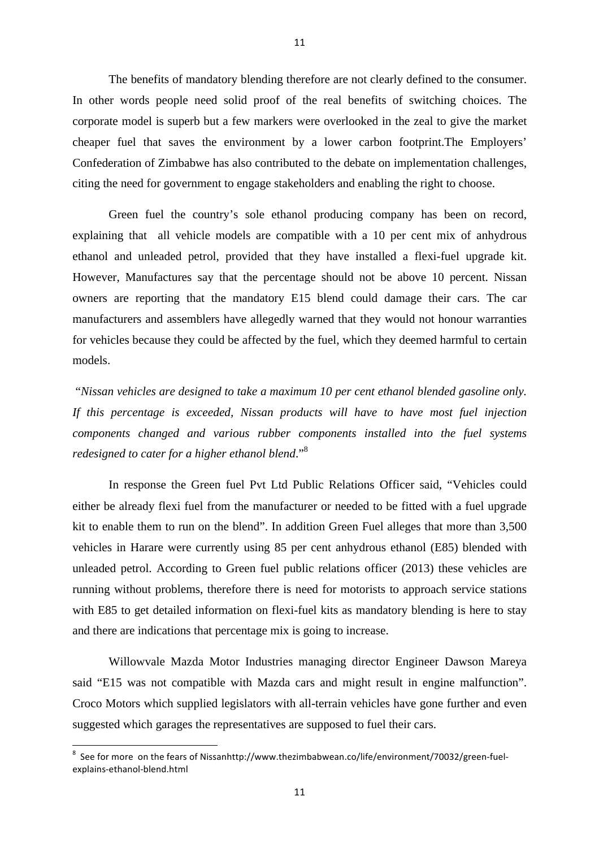The benefits of mandatory blending therefore are not clearly defined to the consumer. In other words people need solid proof of the real benefits of switching choices. The corporate model is superb but a few markers were overlooked in the zeal to give the market cheaper fuel that saves the environment by a lower carbon footprint.The Employers' Confederation of Zimbabwe has also contributed to the debate on implementation challenges, citing the need for government to engage stakeholders and enabling the right to choose.

Green fuel the country's sole ethanol producing company has been on record, explaining that all vehicle models are compatible with a 10 per cent mix of anhydrous ethanol and unleaded petrol, provided that they have installed a flexi-fuel upgrade kit. However, Manufactures say that the percentage should not be above 10 percent. Nissan owners are reporting that the mandatory E15 blend could damage their cars. The car manufacturers and assemblers have allegedly warned that they would not honour warranties for vehicles because they could be affected by the fuel, which they deemed harmful to certain models.

"*Nissan vehicles are designed to take a maximum 10 per cent ethanol blended gasoline only. If this percentage is exceeded, Nissan products will have to have most fuel injection components changed and various rubber components installed into the fuel systems redesigned to cater for a higher ethanol blend*."8

In response the Green fuel Pvt Ltd Public Relations Officer said, "Vehicles could either be already flexi fuel from the manufacturer or needed to be fitted with a fuel upgrade kit to enable them to run on the blend". In addition Green Fuel alleges that more than 3,500 vehicles in Harare were currently using 85 per cent anhydrous ethanol (E85) blended with unleaded petrol. According to Green fuel public relations officer (2013) these vehicles are running without problems, therefore there is need for motorists to approach service stations with E85 to get detailed information on flexi-fuel kits as mandatory blending is here to stay and there are indications that percentage mix is going to increase.

Willowvale Mazda Motor Industries managing director Engineer Dawson Mareya said "E15 was not compatible with Mazda cars and might result in engine malfunction". Croco Motors which supplied legislators with all-terrain vehicles have gone further and even suggested which garages the representatives are supposed to fuel their cars.

<u> 1989 - Jan Samuel Barbara, margaret e</u>

 $^8$  See for more on the fears of Nissanhttp://www.thezimbabwean.co/life/environment/70032/green-fuelexplains-ethanol-blend.html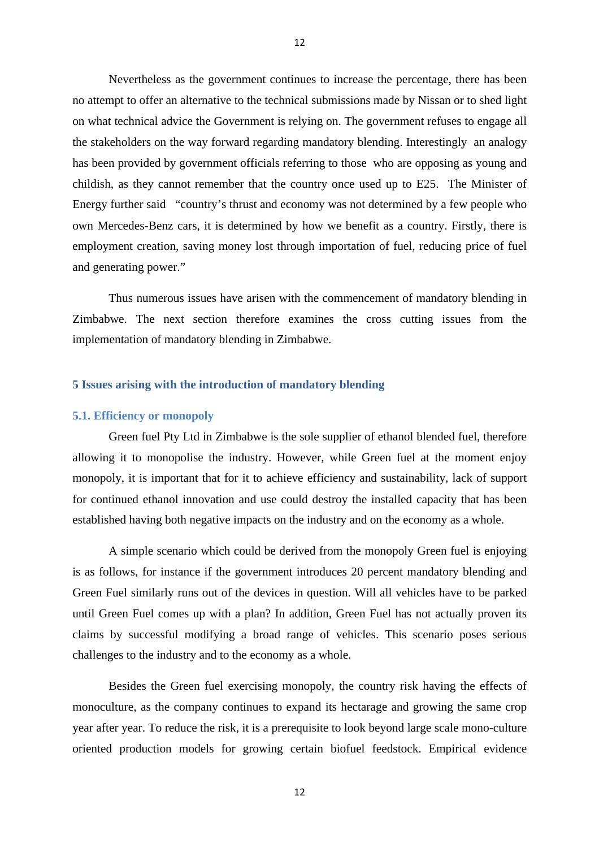Nevertheless as the government continues to increase the percentage, there has been no attempt to offer an alternative to the technical submissions made by Nissan or to shed light on what technical advice the Government is relying on. The government refuses to engage all the stakeholders on the way forward regarding mandatory blending. Interestingly an analogy has been provided by government officials referring to those who are opposing as young and childish, as they cannot remember that the country once used up to E25. The Minister of Energy further said "country's thrust and economy was not determined by a few people who own Mercedes-Benz cars, it is determined by how we benefit as a country. Firstly, there is employment creation, saving money lost through importation of fuel, reducing price of fuel and generating power."

Thus numerous issues have arisen with the commencement of mandatory blending in Zimbabwe. The next section therefore examines the cross cutting issues from the implementation of mandatory blending in Zimbabwe.

# **5 Issues arising with the introduction of mandatory blending**

#### **5.1. Efficiency or monopoly**

Green fuel Pty Ltd in Zimbabwe is the sole supplier of ethanol blended fuel, therefore allowing it to monopolise the industry. However, while Green fuel at the moment enjoy monopoly, it is important that for it to achieve efficiency and sustainability, lack of support for continued ethanol innovation and use could destroy the installed capacity that has been established having both negative impacts on the industry and on the economy as a whole.

A simple scenario which could be derived from the monopoly Green fuel is enjoying is as follows, for instance if the government introduces 20 percent mandatory blending and Green Fuel similarly runs out of the devices in question. Will all vehicles have to be parked until Green Fuel comes up with a plan? In addition, Green Fuel has not actually proven its claims by successful modifying a broad range of vehicles. This scenario poses serious challenges to the industry and to the economy as a whole.

Besides the Green fuel exercising monopoly, the country risk having the effects of monoculture, as the company continues to expand its hectarage and growing the same crop year after year. To reduce the risk, it is a prerequisite to look beyond large scale mono-culture oriented production models for growing certain biofuel feedstock. Empirical evidence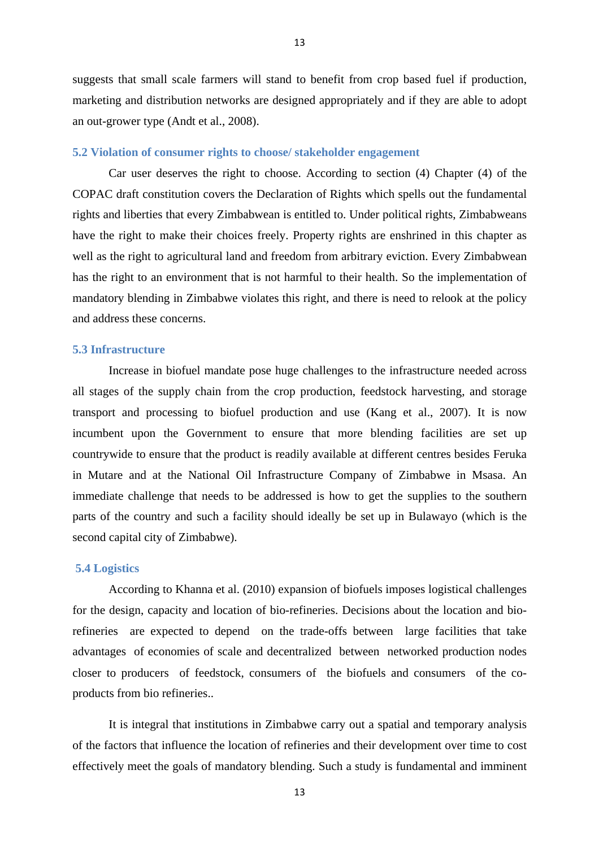suggests that small scale farmers will stand to benefit from crop based fuel if production, marketing and distribution networks are designed appropriately and if they are able to adopt an out-grower type (Andt et al., 2008).

# **5.2 Violation of consumer rights to choose/ stakeholder engagement**

Car user deserves the right to choose. According to section (4) Chapter (4) of the COPAC draft constitution covers the Declaration of Rights which spells out the fundamental rights and liberties that every Zimbabwean is entitled to. Under political rights, Zimbabweans have the right to make their choices freely. Property rights are enshrined in this chapter as well as the right to agricultural land and freedom from arbitrary eviction. Every Zimbabwean has the right to an environment that is not harmful to their health. So the implementation of mandatory blending in Zimbabwe violates this right, and there is need to relook at the policy and address these concerns.

# **5.3 Infrastructure**

Increase in biofuel mandate pose huge challenges to the infrastructure needed across all stages of the supply chain from the crop production, feedstock harvesting, and storage transport and processing to biofuel production and use (Kang et al., 2007). It is now incumbent upon the Government to ensure that more blending facilities are set up countrywide to ensure that the product is readily available at different centres besides Feruka in Mutare and at the National Oil Infrastructure Company of Zimbabwe in Msasa. An immediate challenge that needs to be addressed is how to get the supplies to the southern parts of the country and such a facility should ideally be set up in Bulawayo (which is the second capital city of Zimbabwe).

#### **5.4 Logistics**

According to Khanna et al. (2010) expansion of biofuels imposes logistical challenges for the design, capacity and location of bio-refineries. Decisions about the location and biorefineries are expected to depend on the trade-offs between large facilities that take advantages of economies of scale and decentralized between networked production nodes closer to producers of feedstock, consumers of the biofuels and consumers of the coproducts from bio refineries..

It is integral that institutions in Zimbabwe carry out a spatial and temporary analysis of the factors that influence the location of refineries and their development over time to cost effectively meet the goals of mandatory blending. Such a study is fundamental and imminent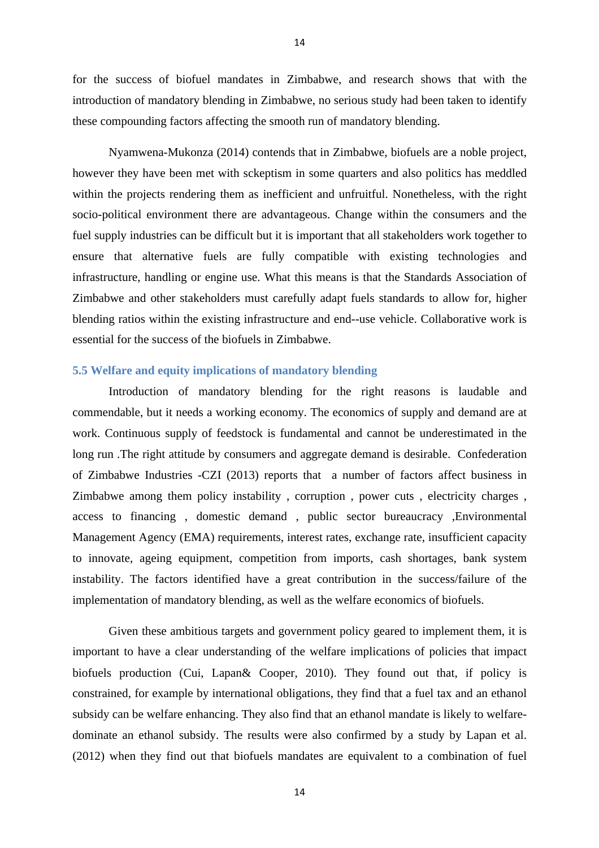for the success of biofuel mandates in Zimbabwe, and research shows that with the introduction of mandatory blending in Zimbabwe, no serious study had been taken to identify these compounding factors affecting the smooth run of mandatory blending.

14

Nyamwena-Mukonza (2014) contends that in Zimbabwe, biofuels are a noble project, however they have been met with sckeptism in some quarters and also politics has meddled within the projects rendering them as inefficient and unfruitful. Nonetheless, with the right socio-political environment there are advantageous. Change within the consumers and the fuel supply industries can be difficult but it is important that all stakeholders work together to ensure that alternative fuels are fully compatible with existing technologies and infrastructure, handling or engine use. What this means is that the Standards Association of Zimbabwe and other stakeholders must carefully adapt fuels standards to allow for, higher blending ratios within the existing infrastructure and end--use vehicle. Collaborative work is essential for the success of the biofuels in Zimbabwe.

# **5.5 Welfare and equity implications of mandatory blending**

Introduction of mandatory blending for the right reasons is laudable and commendable, but it needs a working economy. The economics of supply and demand are at work. Continuous supply of feedstock is fundamental and cannot be underestimated in the long run .The right attitude by consumers and aggregate demand is desirable. Confederation of Zimbabwe Industries -CZI (2013) reports that a number of factors affect business in Zimbabwe among them policy instability , corruption , power cuts , electricity charges , access to financing , domestic demand , public sector bureaucracy ,Environmental Management Agency (EMA) requirements, interest rates, exchange rate, insufficient capacity to innovate, ageing equipment, competition from imports, cash shortages, bank system instability. The factors identified have a great contribution in the success/failure of the implementation of mandatory blending, as well as the welfare economics of biofuels.

Given these ambitious targets and government policy geared to implement them, it is important to have a clear understanding of the welfare implications of policies that impact biofuels production (Cui, Lapan& Cooper, 2010). They found out that, if policy is constrained, for example by international obligations, they find that a fuel tax and an ethanol subsidy can be welfare enhancing. They also find that an ethanol mandate is likely to welfaredominate an ethanol subsidy. The results were also confirmed by a study by Lapan et al. (2012) when they find out that biofuels mandates are equivalent to a combination of fuel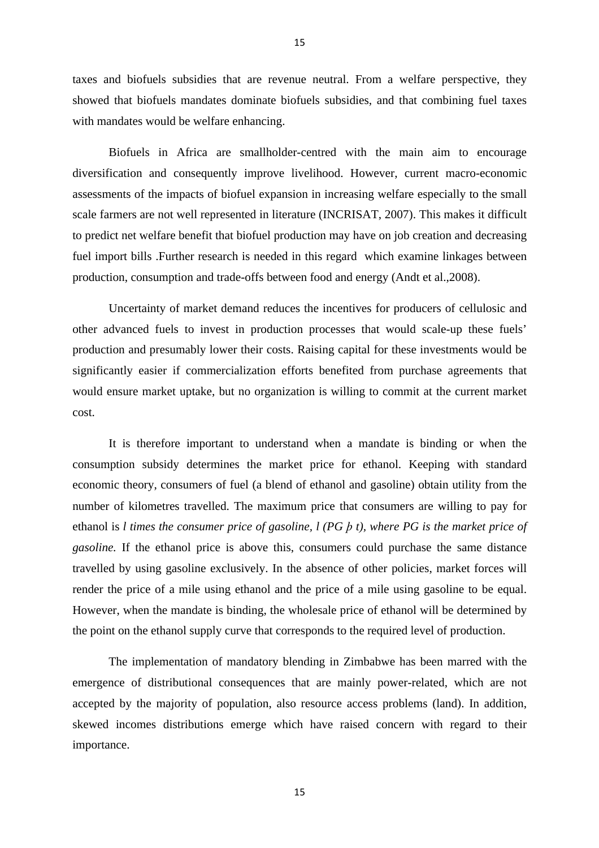taxes and biofuels subsidies that are revenue neutral. From a welfare perspective, they showed that biofuels mandates dominate biofuels subsidies, and that combining fuel taxes with mandates would be welfare enhancing.

Biofuels in Africa are smallholder-centred with the main aim to encourage diversification and consequently improve livelihood. However, current macro-economic assessments of the impacts of biofuel expansion in increasing welfare especially to the small scale farmers are not well represented in literature (INCRISAT, 2007). This makes it difficult to predict net welfare benefit that biofuel production may have on job creation and decreasing fuel import bills .Further research is needed in this regard which examine linkages between production, consumption and trade-offs between food and energy (Andt et al.,2008).

Uncertainty of market demand reduces the incentives for producers of cellulosic and other advanced fuels to invest in production processes that would scale-up these fuels' production and presumably lower their costs. Raising capital for these investments would be significantly easier if commercialization efforts benefited from purchase agreements that would ensure market uptake, but no organization is willing to commit at the current market cost.

It is therefore important to understand when a mandate is binding or when the consumption subsidy determines the market price for ethanol. Keeping with standard economic theory, consumers of fuel (a blend of ethanol and gasoline) obtain utility from the number of kilometres travelled. The maximum price that consumers are willing to pay for ethanol is *l times the consumer price of gasoline, l (PG þ t), where PG is the market price of gasoline.* If the ethanol price is above this, consumers could purchase the same distance travelled by using gasoline exclusively. In the absence of other policies, market forces will render the price of a mile using ethanol and the price of a mile using gasoline to be equal. However, when the mandate is binding, the wholesale price of ethanol will be determined by the point on the ethanol supply curve that corresponds to the required level of production.

The implementation of mandatory blending in Zimbabwe has been marred with the emergence of distributional consequences that are mainly power-related, which are not accepted by the majority of population, also resource access problems (land). In addition, skewed incomes distributions emerge which have raised concern with regard to their importance.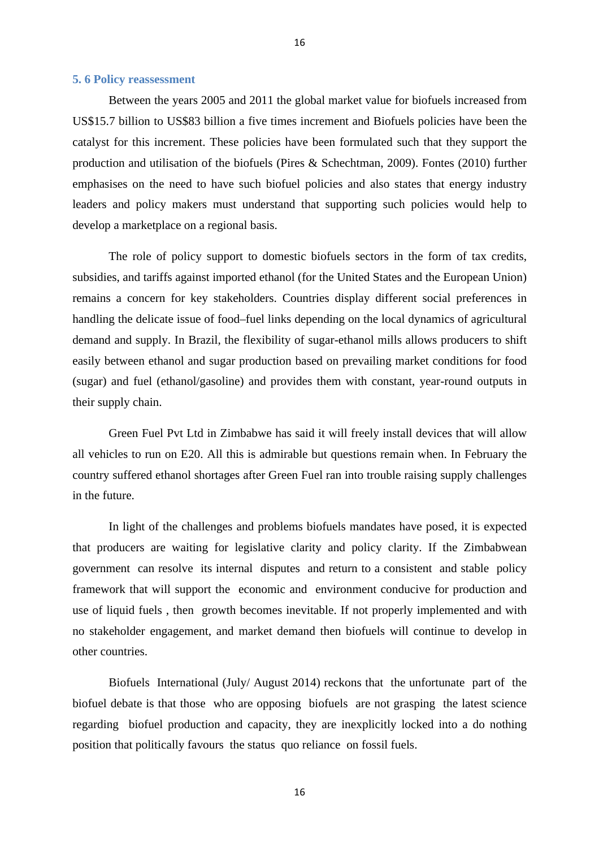# **5. 6 Policy reassessment**

Between the years 2005 and 2011 the global market value for biofuels increased from US\$15.7 billion to US\$83 billion a five times increment and Biofuels policies have been the catalyst for this increment. These policies have been formulated such that they support the production and utilisation of the biofuels (Pires & Schechtman, 2009). Fontes (2010) further emphasises on the need to have such biofuel policies and also states that energy industry leaders and policy makers must understand that supporting such policies would help to develop a marketplace on a regional basis.

16

The role of policy support to domestic biofuels sectors in the form of tax credits, subsidies, and tariffs against imported ethanol (for the United States and the European Union) remains a concern for key stakeholders. Countries display different social preferences in handling the delicate issue of food–fuel links depending on the local dynamics of agricultural demand and supply. In Brazil, the flexibility of sugar-ethanol mills allows producers to shift easily between ethanol and sugar production based on prevailing market conditions for food (sugar) and fuel (ethanol/gasoline) and provides them with constant, year-round outputs in their supply chain.

Green Fuel Pvt Ltd in Zimbabwe has said it will freely install devices that will allow all vehicles to run on E20. All this is admirable but questions remain when. In February the country suffered ethanol shortages after Green Fuel ran into trouble raising supply challenges in the future.

In light of the challenges and problems biofuels mandates have posed, it is expected that producers are waiting for legislative clarity and policy clarity. If the Zimbabwean government can resolve its internal disputes and return to a consistent and stable policy framework that will support the economic and environment conducive for production and use of liquid fuels , then growth becomes inevitable. If not properly implemented and with no stakeholder engagement, and market demand then biofuels will continue to develop in other countries.

Biofuels International (July/ August 2014) reckons that the unfortunate part of the biofuel debate is that those who are opposing biofuels are not grasping the latest science regarding biofuel production and capacity, they are inexplicitly locked into a do nothing position that politically favours the status quo reliance on fossil fuels.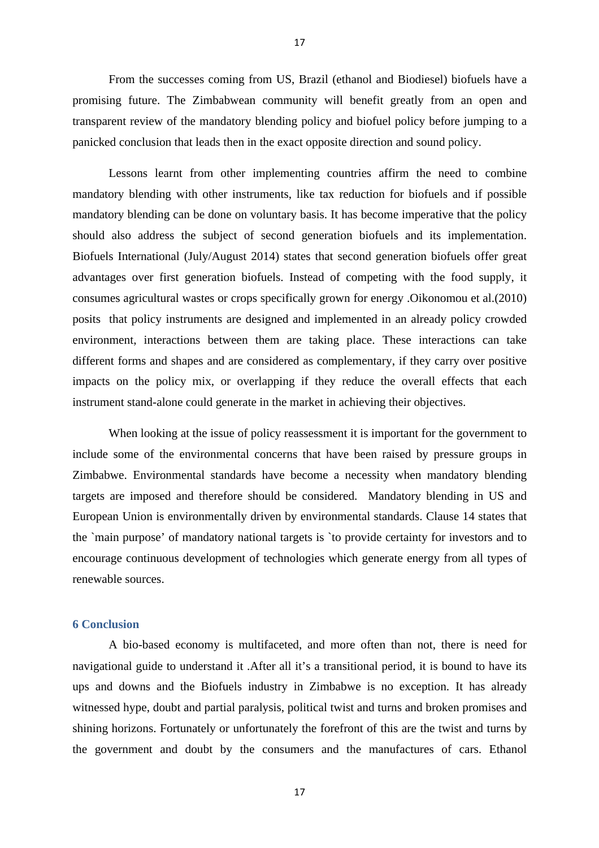From the successes coming from US, Brazil (ethanol and Biodiesel) biofuels have a promising future. The Zimbabwean community will benefit greatly from an open and transparent review of the mandatory blending policy and biofuel policy before jumping to a panicked conclusion that leads then in the exact opposite direction and sound policy.

Lessons learnt from other implementing countries affirm the need to combine mandatory blending with other instruments, like tax reduction for biofuels and if possible mandatory blending can be done on voluntary basis. It has become imperative that the policy should also address the subject of second generation biofuels and its implementation. Biofuels International (July/August 2014) states that second generation biofuels offer great advantages over first generation biofuels. Instead of competing with the food supply, it consumes agricultural wastes or crops specifically grown for energy .Oikonomou et al.(2010) posits that policy instruments are designed and implemented in an already policy crowded environment, interactions between them are taking place. These interactions can take different forms and shapes and are considered as complementary, if they carry over positive impacts on the policy mix, or overlapping if they reduce the overall effects that each instrument stand-alone could generate in the market in achieving their objectives.

When looking at the issue of policy reassessment it is important for the government to include some of the environmental concerns that have been raised by pressure groups in Zimbabwe. Environmental standards have become a necessity when mandatory blending targets are imposed and therefore should be considered. Mandatory blending in US and European Union is environmentally driven by environmental standards. Clause 14 states that the `main purpose' of mandatory national targets is `to provide certainty for investors and to encourage continuous development of technologies which generate energy from all types of renewable sources.

# **6 Conclusion**

A bio-based economy is multifaceted, and more often than not, there is need for navigational guide to understand it .After all it's a transitional period, it is bound to have its ups and downs and the Biofuels industry in Zimbabwe is no exception. It has already witnessed hype, doubt and partial paralysis, political twist and turns and broken promises and shining horizons. Fortunately or unfortunately the forefront of this are the twist and turns by the government and doubt by the consumers and the manufactures of cars. Ethanol

17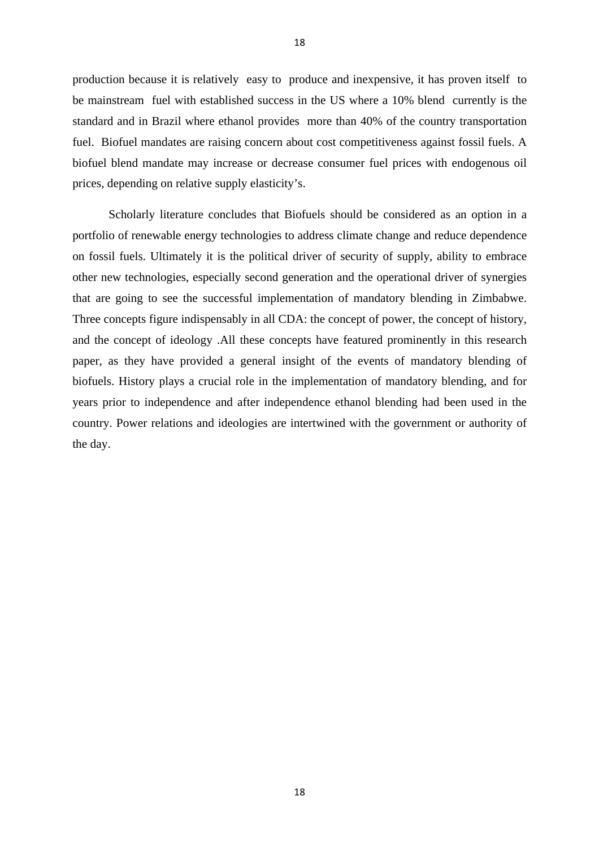production because it is relatively easy to produce and inexpensive, it has proven itself to be mainstream fuel with established success in the US where a 10% blend currently is the standard and in Brazil where ethanol provides more than 40% of the country transportation fuel. Biofuel mandates are raising concern about cost competitiveness against fossil fuels. A biofuel blend mandate may increase or decrease consumer fuel prices with endogenous oil prices, depending on relative supply elasticity's.

Scholarly literature concludes that Biofuels should be considered as an option in a portfolio of renewable energy technologies to address climate change and reduce dependence on fossil fuels. Ultimately it is the political driver of security of supply, ability to embrace other new technologies, especially second generation and the operational driver of synergies that are going to see the successful implementation of mandatory blending in Zimbabwe. Three concepts figure indispensably in all CDA: the concept of power, the concept of history, and the concept of ideology .All these concepts have featured prominently in this research paper, as they have provided a general insight of the events of mandatory blending of biofuels. History plays a crucial role in the implementation of mandatory blending, and for years prior to independence and after independence ethanol blending had been used in the country. Power relations and ideologies are intertwined with the government or authority of the day.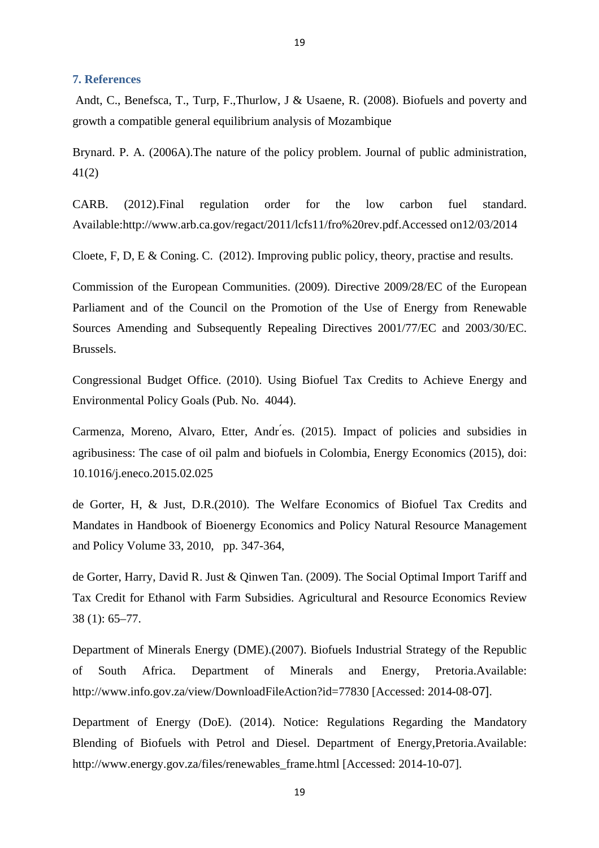#### **7. References**

Andt, C., Benefsca, T., Turp, F.,Thurlow, J & Usaene, R. (2008). Biofuels and poverty and growth a compatible general equilibrium analysis of Mozambique

19

Brynard. P. A. (2006A).The nature of the policy problem. Journal of public administration, 41(2)

CARB. (2012).Final regulation order for the low carbon fuel standard. Available:http://www.arb.ca.gov/regact/2011/lcfs11/fro%20rev.pdf.Accessed on12/03/2014

Cloete, F, D, E & Coning. C. (2012). Improving public policy, theory, practise and results.

Commission of the European Communities. (2009). Directive 2009/28/EC of the European Parliament and of the Council on the Promotion of the Use of Energy from Renewable Sources Amending and Subsequently Repealing Directives 2001/77/EC and 2003/30/EC. Brussels.

Congressional Budget Office. (2010). Using Biofuel Tax Credits to Achieve Energy and Environmental Policy Goals (Pub. No. 4044).

Carmenza, Moreno, Alvaro, Etter, Andr ́es. (2015). Impact of policies and subsidies in agribusiness: The case of oil palm and biofuels in Colombia, Energy Economics (2015), doi: 10.1016/j.eneco.2015.02.025

de Gorter, H, & Just, D.R.(2010). The Welfare Economics of Biofuel Tax Credits and Mandates in Handbook of Bioenergy Economics and Policy Natural Resource Management and Policy Volume 33, 2010, pp. 347-364,

de Gorter, Harry, David R. Just & Qinwen Tan. (2009). The Social Optimal Import Tariff and Tax Credit for Ethanol with Farm Subsidies. Agricultural and Resource Economics Review 38 (1): 65–77.

Department of Minerals Energy (DME).(2007). Biofuels Industrial Strategy of the Republic of South Africa. Department of Minerals and Energy, Pretoria.Available: http://www.info.gov.za/view/DownloadFileAction?id=77830 [Accessed: 2014-08-07].

Department of Energy (DoE). (2014). Notice: Regulations Regarding the Mandatory Blending of Biofuels with Petrol and Diesel. Department of Energy,Pretoria.Available: http://www.energy.gov.za/files/renewables\_frame.html [Accessed: 2014-10-07].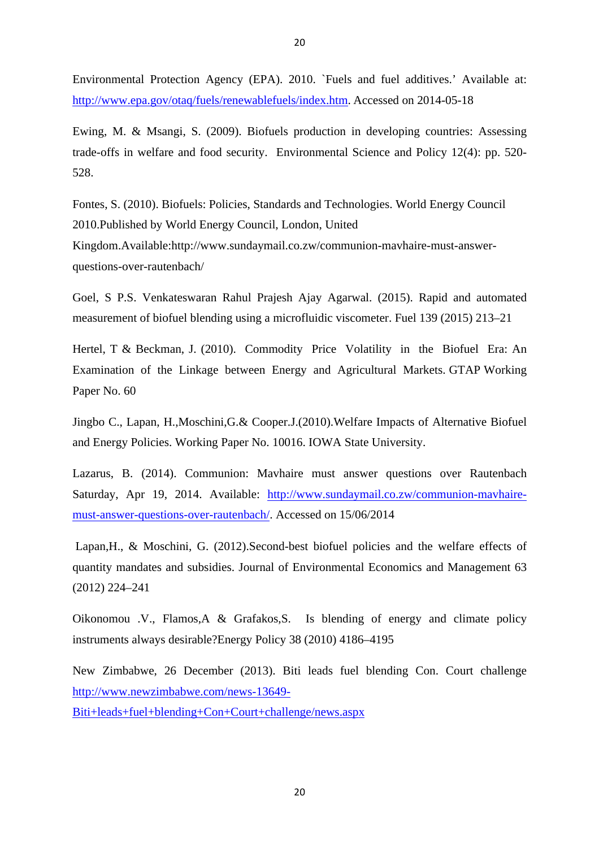Environmental Protection Agency (EPA). 2010. `Fuels and fuel additives.' Available at: http://www.epa.gov/otaq/fuels/renewablefuels/index.htm. Accessed on 2014-05-18

Ewing, M. & Msangi, S. (2009). Biofuels production in developing countries: Assessing trade-offs in welfare and food security. Environmental Science and Policy 12(4): pp. 520- 528.

Fontes, S. (2010). Biofuels: Policies, Standards and Technologies. World Energy Council 2010.Published by World Energy Council, London, United Kingdom.Available:http://www.sundaymail.co.zw/communion-mavhaire-must-answer-

questions-over-rautenbach/

Goel, S P.S. Venkateswaran Rahul Prajesh Ajay Agarwal. (2015). Rapid and automated measurement of biofuel blending using a microfluidic viscometer. Fuel 139 (2015) 213–21

Hertel, T & Beckman, J. (2010). Commodity Price Volatility in the Biofuel Era: An Examination of the Linkage between Energy and Agricultural Markets. GTAP Working Paper No. 60

Jingbo C., Lapan, H.,Moschini,G.& Cooper.J.(2010).Welfare Impacts of Alternative Biofuel and Energy Policies. Working Paper No. 10016. IOWA State University.

Lazarus, B. (2014). Communion: Mavhaire must answer questions over Rautenbach Saturday, Apr 19, 2014. Available: http://www.sundaymail.co.zw/communion-mavhairemust-answer-questions-over-rautenbach/. Accessed on 15/06/2014

Lapan,H., & Moschini, G. (2012).Second-best biofuel policies and the welfare effects of quantity mandates and subsidies. Journal of Environmental Economics and Management 63 (2012) 224–241

Oikonomou .V., Flamos,A & Grafakos,S. Is blending of energy and climate policy instruments always desirable?Energy Policy 38 (2010) 4186–4195

New Zimbabwe, 26 December (2013). Biti leads fuel blending Con. Court challenge http://www.newzimbabwe.com/news-13649- Biti+leads+fuel+blending+Con+Court+challenge/news.aspx